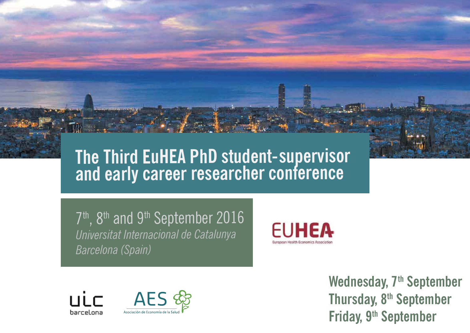## **The Third EuHEA PhD student-supervisor and early career researcher conference**

7<sup>th</sup>, 8<sup>th</sup> and 9<sup>th</sup> September 2016 *Universitat Internacional de Catalunya Barcelona (Spain)*





Wednesday, 7<sup>th</sup> September **Thursday, 8th September Friday, 9th September**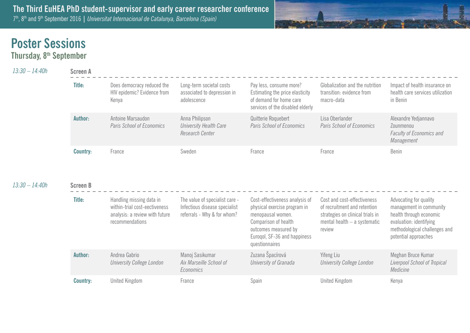

## **Poster Sessions**

**Thursday, 8th September**

| $13:30 - 14:40h$ | <b>Screen A</b> |                                                                                                                |                                                                                                |                                                                                                                                                                                       |                                                                                                                                           |                                                                                                                                                                  |  |  |
|------------------|-----------------|----------------------------------------------------------------------------------------------------------------|------------------------------------------------------------------------------------------------|---------------------------------------------------------------------------------------------------------------------------------------------------------------------------------------|-------------------------------------------------------------------------------------------------------------------------------------------|------------------------------------------------------------------------------------------------------------------------------------------------------------------|--|--|
|                  | Title:          | Does democracy reduced the<br>HIV epidemic? Evidence from<br>Kenya                                             | Long-term societal costs<br>associated to depression in<br>adolescence                         | Pay less, consume more?<br>Estimating the price elasticity<br>of demand for home care<br>services of the disabled elderly                                                             | Globalization and the nutrition<br>transition: evidence from<br>macro-data                                                                | Impact of health insurance on<br>health care services utilization<br>in Benin                                                                                    |  |  |
|                  | Author:         | Antoine Marsaudon<br>Paris School of Economics                                                                 | Anna Philipson<br>University Health Care<br>Research Center                                    | Quitterie Roquebert<br>Paris School of Economics                                                                                                                                      | Lisa Oberlander<br>Paris School of Economics                                                                                              | Alexandre Yedjannavo<br>Zounmenou<br>Faculty of Economics and<br>Management                                                                                      |  |  |
|                  | <b>Country:</b> | France                                                                                                         | Sweden                                                                                         | France                                                                                                                                                                                | France                                                                                                                                    | Benin                                                                                                                                                            |  |  |
| 13:30 - 14:40h   | <b>Screen B</b> |                                                                                                                |                                                                                                |                                                                                                                                                                                       |                                                                                                                                           |                                                                                                                                                                  |  |  |
|                  | Title:          | Handling missing data in<br>within-trial cost-eectiveness<br>analysis: a review with future<br>recommendations | The value of specialist care -<br>Infectious disease specialist<br>referrals - Why & for whom? | Cost-effectiveness analysis of<br>physical exercise program in<br>menopausal women.<br>Comparison of health<br>outcomes measured by<br>Euroqol, SF-36 and happiness<br>questionnaires | Cost and cost-effectiveness<br>of recruitment and retention<br>strategies on clinical trials in<br>mental health - a systematic<br>review | Advocating for quality<br>management in community<br>health through economic<br>evaluation: identifying<br>methodological challenges and<br>potential approaches |  |  |
|                  | Author:         | Andrea Gabrio<br>University College London                                                                     | Manoj Sasikumar<br>Aix Marseille School of<br>Economics                                        | Zuzana Špacírová<br>University of Granada                                                                                                                                             | Yifeng Liu<br><b>University College London</b>                                                                                            | Meghan Bruce Kumar<br>Liverpool School of Tropical<br>Medicine                                                                                                   |  |  |
|                  | <b>Country:</b> | <b>United Kingdom</b>                                                                                          | France                                                                                         | Spain                                                                                                                                                                                 | United Kingdom                                                                                                                            | Kenya                                                                                                                                                            |  |  |